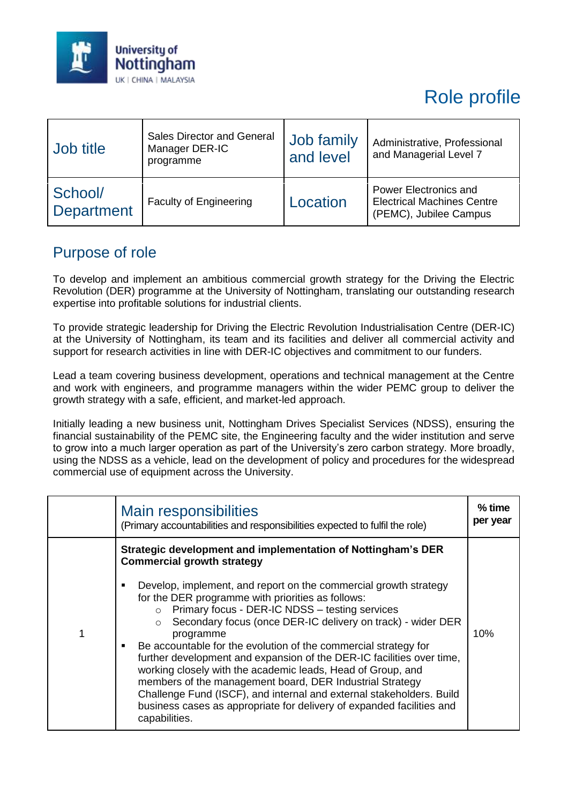

# Role profile

| Job title                    | Sales Director and General<br>Manager DER-IC<br>programme | Job family<br>and level | Administrative, Professional<br>and Managerial Level 7                               |
|------------------------------|-----------------------------------------------------------|-------------------------|--------------------------------------------------------------------------------------|
| School/<br><b>Department</b> | <b>Faculty of Engineering</b>                             | Location                | Power Electronics and<br><b>Electrical Machines Centre</b><br>(PEMC), Jubilee Campus |

#### Purpose of role

To develop and implement an ambitious commercial growth strategy for the Driving the Electric Revolution (DER) programme at the University of Nottingham, translating our outstanding research expertise into profitable solutions for industrial clients.

To provide strategic leadership for Driving the Electric Revolution Industrialisation Centre (DER-IC) at the University of Nottingham, its team and its facilities and deliver all commercial activity and support for research activities in line with DER-IC objectives and commitment to our funders.

Lead a team covering business development, operations and technical management at the Centre and work with engineers, and programme managers within the wider PEMC group to deliver the growth strategy with a safe, efficient, and market-led approach.

Initially leading a new business unit, Nottingham Drives Specialist Services (NDSS), ensuring the financial sustainability of the PEMC site, the Engineering faculty and the wider institution and serve to grow into a much larger operation as part of the University's zero carbon strategy. More broadly, using the NDSS as a vehicle, lead on the development of policy and procedures for the widespread commercial use of equipment across the University.

| Main responsibilities<br>(Primary accountabilities and responsibilities expected to fulfil the role)                                                                                                                                                                                                                                                                                                                                                                                                                                                                                                                                                                                                                                                                                                                 | $%$ time<br>per year |
|----------------------------------------------------------------------------------------------------------------------------------------------------------------------------------------------------------------------------------------------------------------------------------------------------------------------------------------------------------------------------------------------------------------------------------------------------------------------------------------------------------------------------------------------------------------------------------------------------------------------------------------------------------------------------------------------------------------------------------------------------------------------------------------------------------------------|----------------------|
| Strategic development and implementation of Nottingham's DER<br><b>Commercial growth strategy</b><br>Develop, implement, and report on the commercial growth strategy<br>for the DER programme with priorities as follows:<br>$\circ$ Primary focus - DER-IC NDSS - testing services<br>Secondary focus (once DER-IC delivery on track) - wider DER<br>$\circ$<br>programme<br>Be accountable for the evolution of the commercial strategy for<br>further development and expansion of the DER-IC facilities over time,<br>working closely with the academic leads, Head of Group, and<br>members of the management board, DER Industrial Strategy<br>Challenge Fund (ISCF), and internal and external stakeholders. Build<br>business cases as appropriate for delivery of expanded facilities and<br>capabilities. | 10%                  |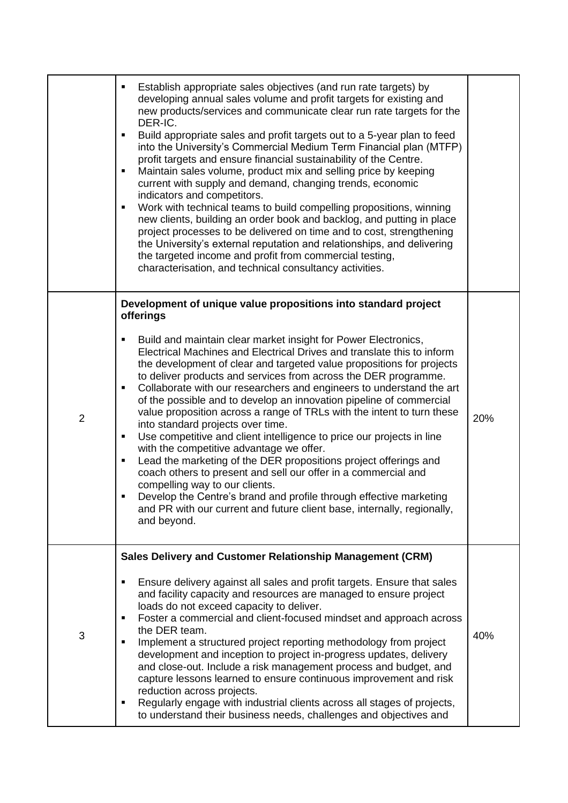|                | Establish appropriate sales objectives (and run rate targets) by<br>developing annual sales volume and profit targets for existing and<br>new products/services and communicate clear run rate targets for the<br>DER-IC.<br>Build appropriate sales and profit targets out to a 5-year plan to feed<br>٠<br>into the University's Commercial Medium Term Financial plan (MTFP)<br>profit targets and ensure financial sustainability of the Centre.<br>Maintain sales volume, product mix and selling price by keeping<br>current with supply and demand, changing trends, economic<br>indicators and competitors.<br>Work with technical teams to build compelling propositions, winning<br>٠<br>new clients, building an order book and backlog, and putting in place<br>project processes to be delivered on time and to cost, strengthening<br>the University's external reputation and relationships, and delivering<br>the targeted income and profit from commercial testing,<br>characterisation, and technical consultancy activities.                                                                                |     |
|----------------|---------------------------------------------------------------------------------------------------------------------------------------------------------------------------------------------------------------------------------------------------------------------------------------------------------------------------------------------------------------------------------------------------------------------------------------------------------------------------------------------------------------------------------------------------------------------------------------------------------------------------------------------------------------------------------------------------------------------------------------------------------------------------------------------------------------------------------------------------------------------------------------------------------------------------------------------------------------------------------------------------------------------------------------------------------------------------------------------------------------------------------|-----|
| $\overline{2}$ | Development of unique value propositions into standard project<br>offerings<br>Build and maintain clear market insight for Power Electronics,<br>٠<br>Electrical Machines and Electrical Drives and translate this to inform<br>the development of clear and targeted value propositions for projects<br>to deliver products and services from across the DER programme.<br>Collaborate with our researchers and engineers to understand the art<br>٠<br>of the possible and to develop an innovation pipeline of commercial<br>value proposition across a range of TRLs with the intent to turn these<br>into standard projects over time.<br>Use competitive and client intelligence to price our projects in line<br>$\blacksquare$<br>with the competitive advantage we offer.<br>Lead the marketing of the DER propositions project offerings and<br>٠<br>coach others to present and sell our offer in a commercial and<br>compelling way to our clients.<br>Develop the Centre's brand and profile through effective marketing<br>and PR with our current and future client base, internally, regionally,<br>and beyond. | 20% |
| 3              | Sales Delivery and Customer Relationship Management (CRM)<br>Ensure delivery against all sales and profit targets. Ensure that sales<br>and facility capacity and resources are managed to ensure project<br>loads do not exceed capacity to deliver.<br>Foster a commercial and client-focused mindset and approach across<br>п<br>the DER team.<br>Implement a structured project reporting methodology from project<br>development and inception to project in-progress updates, delivery<br>and close-out. Include a risk management process and budget, and<br>capture lessons learned to ensure continuous improvement and risk<br>reduction across projects.<br>Regularly engage with industrial clients across all stages of projects,<br>to understand their business needs, challenges and objectives and                                                                                                                                                                                                                                                                                                             | 40% |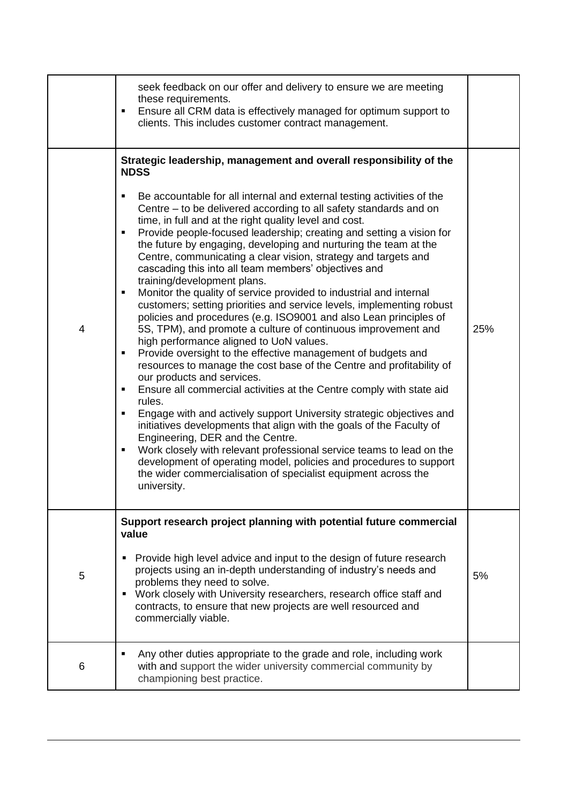|   | seek feedback on our offer and delivery to ensure we are meeting<br>these requirements.<br>Ensure all CRM data is effectively managed for optimum support to<br>clients. This includes customer contract management.                                                                                                                                                                                                                                                                                                                                                                                                                                                                                                                                                                                                                                                                                                                                                                                                                                                                                                                                                                                                                                                                                                                                                                                                                                                                                                                                                                                                                   |     |
|---|----------------------------------------------------------------------------------------------------------------------------------------------------------------------------------------------------------------------------------------------------------------------------------------------------------------------------------------------------------------------------------------------------------------------------------------------------------------------------------------------------------------------------------------------------------------------------------------------------------------------------------------------------------------------------------------------------------------------------------------------------------------------------------------------------------------------------------------------------------------------------------------------------------------------------------------------------------------------------------------------------------------------------------------------------------------------------------------------------------------------------------------------------------------------------------------------------------------------------------------------------------------------------------------------------------------------------------------------------------------------------------------------------------------------------------------------------------------------------------------------------------------------------------------------------------------------------------------------------------------------------------------|-----|
| 4 | Strategic leadership, management and overall responsibility of the<br><b>NDSS</b><br>Be accountable for all internal and external testing activities of the<br>Centre – to be delivered according to all safety standards and on<br>time, in full and at the right quality level and cost.<br>Provide people-focused leadership; creating and setting a vision for<br>the future by engaging, developing and nurturing the team at the<br>Centre, communicating a clear vision, strategy and targets and<br>cascading this into all team members' objectives and<br>training/development plans.<br>Monitor the quality of service provided to industrial and internal<br>$\blacksquare$<br>customers; setting priorities and service levels, implementing robust<br>policies and procedures (e.g. ISO9001 and also Lean principles of<br>5S, TPM), and promote a culture of continuous improvement and<br>high performance aligned to UoN values.<br>Provide oversight to the effective management of budgets and<br>resources to manage the cost base of the Centre and profitability of<br>our products and services.<br>Ensure all commercial activities at the Centre comply with state aid<br>٠<br>rules.<br>Engage with and actively support University strategic objectives and<br>٠<br>initiatives developments that align with the goals of the Faculty of<br>Engineering, DER and the Centre.<br>Work closely with relevant professional service teams to lead on the<br>development of operating model, policies and procedures to support<br>the wider commercialisation of specialist equipment across the<br>university. | 25% |
| 5 | Support research project planning with potential future commercial<br>value<br>Provide high level advice and input to the design of future research<br>٠<br>projects using an in-depth understanding of industry's needs and<br>problems they need to solve.<br>Work closely with University researchers, research office staff and<br>contracts, to ensure that new projects are well resourced and<br>commercially viable.                                                                                                                                                                                                                                                                                                                                                                                                                                                                                                                                                                                                                                                                                                                                                                                                                                                                                                                                                                                                                                                                                                                                                                                                           | 5%  |
| 6 | Any other duties appropriate to the grade and role, including work<br>with and support the wider university commercial community by<br>championing best practice.                                                                                                                                                                                                                                                                                                                                                                                                                                                                                                                                                                                                                                                                                                                                                                                                                                                                                                                                                                                                                                                                                                                                                                                                                                                                                                                                                                                                                                                                      |     |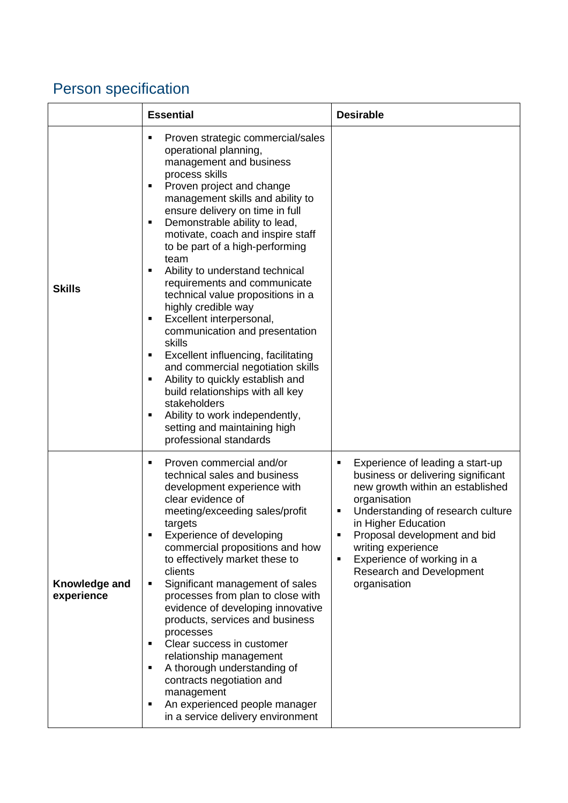## Person specification

|                             | <b>Essential</b>                                                                                                                                                                                                                                                                                                                                                                                                                                                                                                                                                                                                                                                                                                                                                                                                                            | <b>Desirable</b>                                                                                                                                                                                                                                                                                                                             |
|-----------------------------|---------------------------------------------------------------------------------------------------------------------------------------------------------------------------------------------------------------------------------------------------------------------------------------------------------------------------------------------------------------------------------------------------------------------------------------------------------------------------------------------------------------------------------------------------------------------------------------------------------------------------------------------------------------------------------------------------------------------------------------------------------------------------------------------------------------------------------------------|----------------------------------------------------------------------------------------------------------------------------------------------------------------------------------------------------------------------------------------------------------------------------------------------------------------------------------------------|
| <b>Skills</b>               | Proven strategic commercial/sales<br>٠<br>operational planning,<br>management and business<br>process skills<br>Proven project and change<br>٠<br>management skills and ability to<br>ensure delivery on time in full<br>Demonstrable ability to lead,<br>٠<br>motivate, coach and inspire staff<br>to be part of a high-performing<br>team<br>Ability to understand technical<br>٠<br>requirements and communicate<br>technical value propositions in a<br>highly credible way<br>Excellent interpersonal,<br>٠<br>communication and presentation<br>skills<br>Excellent influencing, facilitating<br>٠<br>and commercial negotiation skills<br>Ability to quickly establish and<br>٠<br>build relationships with all key<br>stakeholders<br>Ability to work independently,<br>п<br>setting and maintaining high<br>professional standards |                                                                                                                                                                                                                                                                                                                                              |
| Knowledge and<br>experience | Proven commercial and/or<br>$\blacksquare$<br>technical sales and business<br>development experience with<br>clear evidence of<br>meeting/exceeding sales/profit<br>targets<br>Experience of developing<br>commercial propositions and how<br>to effectively market these to<br>clients<br>Significant management of sales<br>٠<br>processes from plan to close with<br>evidence of developing innovative<br>products, services and business<br>processes<br>Clear success in customer<br>٠<br>relationship management<br>A thorough understanding of<br>٠<br>contracts negotiation and<br>management<br>An experienced people manager<br>٠<br>in a service delivery environment                                                                                                                                                            | Experience of leading a start-up<br>П<br>business or delivering significant<br>new growth within an established<br>organisation<br>Understanding of research culture<br>Ξ<br>in Higher Education<br>Proposal development and bid<br>writing experience<br>Experience of working in a<br>Ξ<br><b>Research and Development</b><br>organisation |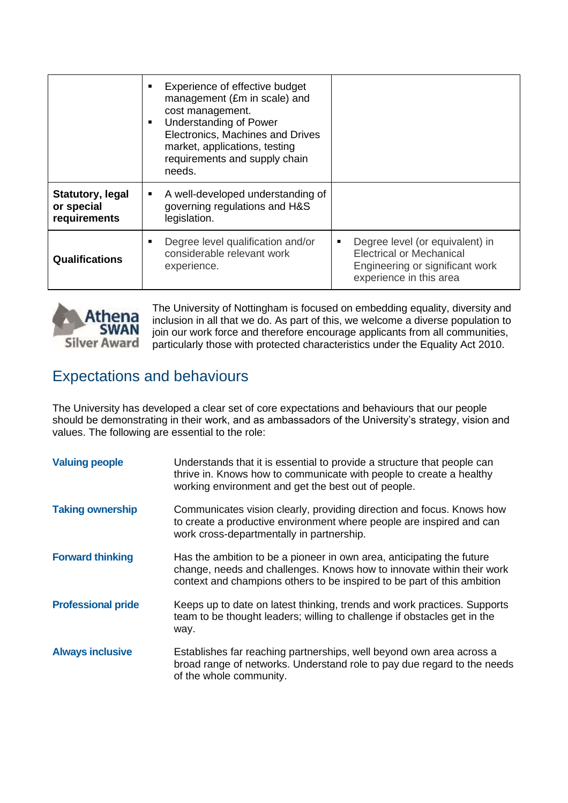|                                                       | Experience of effective budget<br>management (£m in scale) and<br>cost management.<br><b>Understanding of Power</b><br>$\blacksquare$<br>Electronics, Machines and Drives<br>market, applications, testing<br>requirements and supply chain<br>needs. |                                                                                                                                       |
|-------------------------------------------------------|-------------------------------------------------------------------------------------------------------------------------------------------------------------------------------------------------------------------------------------------------------|---------------------------------------------------------------------------------------------------------------------------------------|
| <b>Statutory, legal</b><br>or special<br>requirements | A well-developed understanding of<br>٠<br>governing regulations and H&S<br>legislation.                                                                                                                                                               |                                                                                                                                       |
| <b>Qualifications</b>                                 | Degree level qualification and/or<br>considerable relevant work<br>experience.                                                                                                                                                                        | Degree level (or equivalent) in<br>٠<br><b>Electrical or Mechanical</b><br>Engineering or significant work<br>experience in this area |



The University of Nottingham is focused on embedding equality, diversity and inclusion in all that we do. As part of this, we welcome a diverse population to join our work force and therefore encourage applicants from all communities, particularly those with protected characteristics under the Equality Act 2010.

#### Expectations and behaviours

The University has developed a clear set of core expectations and behaviours that our people should be demonstrating in their work, and as ambassadors of the University's strategy, vision and values. The following are essential to the role:

| <b>Valuing people</b>     | Understands that it is essential to provide a structure that people can<br>thrive in. Knows how to communicate with people to create a healthy<br>working environment and get the best out of people.                     |
|---------------------------|---------------------------------------------------------------------------------------------------------------------------------------------------------------------------------------------------------------------------|
| <b>Taking ownership</b>   | Communicates vision clearly, providing direction and focus. Knows how<br>to create a productive environment where people are inspired and can<br>work cross-departmentally in partnership.                                |
| <b>Forward thinking</b>   | Has the ambition to be a pioneer in own area, anticipating the future<br>change, needs and challenges. Knows how to innovate within their work<br>context and champions others to be inspired to be part of this ambition |
| <b>Professional pride</b> | Keeps up to date on latest thinking, trends and work practices. Supports<br>team to be thought leaders; willing to challenge if obstacles get in the<br>way.                                                              |
| <b>Always inclusive</b>   | Establishes far reaching partnerships, well beyond own area across a<br>broad range of networks. Understand role to pay due regard to the needs<br>of the whole community.                                                |